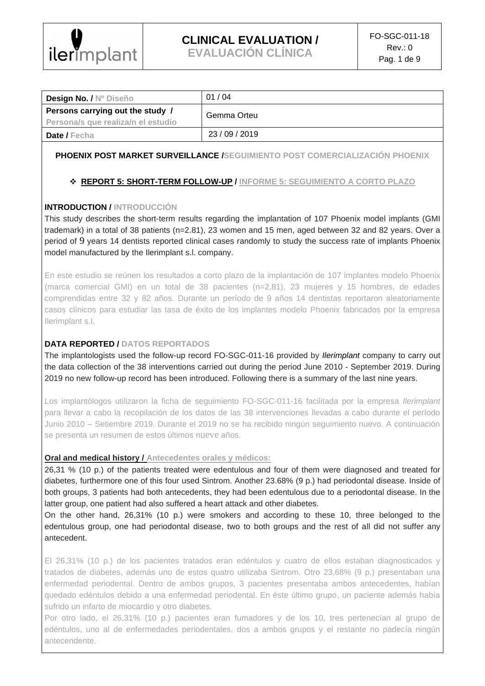

**EVALUACIÓN CLÍNICA**

| <b>Design No. / Nº Diseño</b>                                          | 01/04       |
|------------------------------------------------------------------------|-------------|
| Persons carrying out the study /<br>Persona/s que realiza/n el estudio | Gemma Orteu |
| <b>Date / Fecha</b>                                                    | 23/09/2019  |

### **PHOENIX POST MARKET SURVEILLANCE /SEGUIMIENTO POST COMERCIALIZACIÓN PHOENIX**

## ❖ **REPORT 5: SHORT-TERM FOLLOW-UP / INFORME 5: SEGUIMIENTO A CORTO PLAZO**

### **INTRODUCTION / INTRODUCCIÓN**

This study describes the short-term results regarding the implantation of 107 Phoenix model implants (GMI trademark) in a total of 38 patients (n=2.81), 23 women and 15 men, aged between 32 and 82 years. Over a period of 9 years 14 dentists reported clinical cases randomly to study the success rate of implants Phoenix model manufactured by the Ilerimplant s.l. company.

En este estudio se reúnen los resultados a corto plazo de la implantación de 107 implantes modelo Phoenix (marca comercial GMI) en un total de 38 pacientes (n=2,81), 23 mujeres y 15 hombres, de edades comprendidas entre 32 y 82 años. Durante un período de 9 años 14 dentistas reportaron aleatoriamente casos clínicos para estudiar las tasa de éxito de los implantes modelo Phoenix fabricados por la empresa Ilerimplant s.l.

### **DATA REPORTED / DATOS REPORTADOS**

The implantologists used the follow-up record FO-SGC-011-16 provided by *Ilerimplant* company to carry out the data collection of the 38 interventions carried out during the period June 2010 - September 2019. During 2019 no new follow-up record has been introduced. Following there is a summary of the last nine years.

Los implantólogos utilizaron la ficha de seguimiento FO-SGC-011-16 facilitada por la empresa *Ilerimplant* para llevar a cabo la recopilación de los datos de las 38 intervenciones llevadas a cabo durante el período Junio 2010 – Setiembre 2019. Durante el 2019 no se ha recibido ningún seguimiento nuevo. A continuación se presenta un resumen de estos últimos nueve años.

#### **Oral and medical history / Antecedentes orales y médicos:**

26,31 % (10 p.) of the patients treated were edentulous and four of them were diagnosed and treated for diabetes, furthermore one of this four used Sintrom. Another 23.68% (9 p.) had periodontal disease. Inside of both groups, 3 patients had both antecedents, they had been edentulous due to a periodontal disease. In the latter group, one patient had also suffered a heart attack and other diabetes.

On the other hand, 26,31% (10 p.) were smokers and according to these 10, three belonged to the edentulous group, one had periodontal disease, two to both groups and the rest of all did not suffer any antecedent.

El 26,31% (10 p.) de los pacientes tratados eran edéntulos y cuatro de ellos estaban diagnosticados y tratados de diabetes, además uno de estos quatro utilizaba Sintrom. Otro 23,68% (9 p.) presentaban una enfermedad periodental. Dentro de ambos grupos, 3 pacientes presentaba ambos antecedentes, habían quedado edéntulos debido a una enfermedad periodental. En éste último grupo, un paciente además había sufrido un infarto de miocardio y otro diabetes.

Por otro lado, el 26,31% (10 p.) pacientes eran fumadores y de los 10, tres pertenecían al grupo de edéntulos, uno al de enfermedades periodentales, dos a ambos grupos y el restante no padecía ningún antecendente.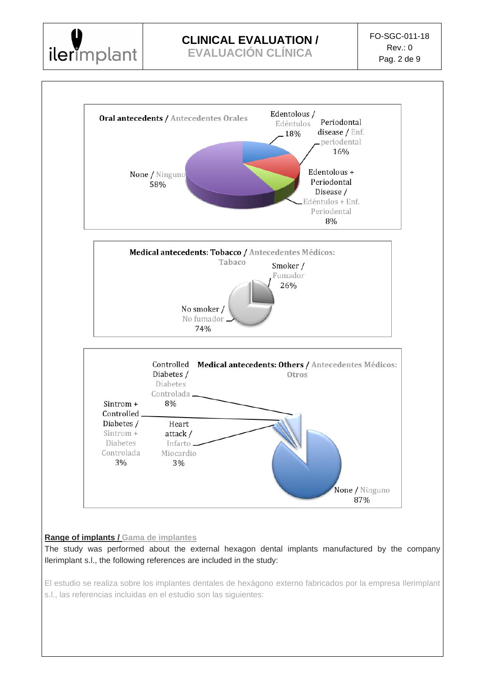

**EVALUACIÓN CLÍNICA**



El estudio se realiza sobre los implantes dentales de hexágono externo fabricados por la empresa Ilerimplant s.l., las referencias incluidas en el estudio son las siguientes: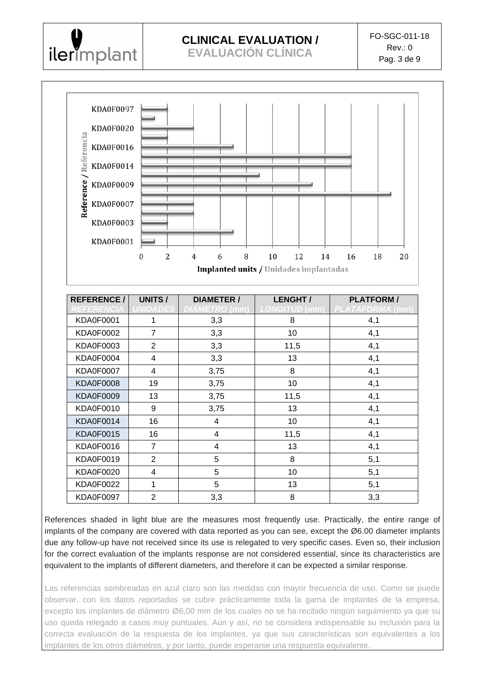

**EVALUACIÓN CLÍNICA**



| <b>REFERENCE/</b><br>REFERENCIA | <b>UNITS/</b><br><b>NIDADES</b> | <b>DIAMETER /</b><br>DIAMETRO (mm) | <b>LENGHT/</b><br><b>LONGITUD (mm)</b> | <b>PLATFORM/</b><br>PLATAFORMA (mm) |  |
|---------------------------------|---------------------------------|------------------------------------|----------------------------------------|-------------------------------------|--|
| <b>KDA0F0001</b>                | 1                               | 3,3                                | 8                                      | 4,1                                 |  |
| <b>KDA0F0002</b>                | $\overline{7}$                  | 3,3                                | 10                                     | 4,1                                 |  |
| KDA0F0003                       | $\overline{2}$                  | 3,3                                | 11,5                                   | 4,1                                 |  |
| KDA0F0004                       | 4                               | 3,3                                | 13                                     | 4,1                                 |  |
| <b>KDA0F0007</b>                | 4                               | 3,75                               | 8                                      | 4,1                                 |  |
| <b>KDA0F0008</b>                | 19                              | 3,75                               | 10                                     | 4,1                                 |  |
| <b>KDA0F0009</b>                | 13                              | 3,75                               | 11,5                                   | 4,1                                 |  |
| KDA0F0010                       | 9                               | 3,75                               | 13                                     | 4,1                                 |  |
| <b>KDA0F0014</b>                | 16                              | 4                                  | 10                                     | 4,1                                 |  |
| <b>KDA0F0015</b>                | 16                              | 4                                  | 11,5                                   | 4,1                                 |  |
| <b>KDA0F0016</b>                | $\overline{7}$                  | 4                                  | 13                                     | 4,1                                 |  |
| KDA0F0019                       | $\overline{2}$                  | 5                                  | 8                                      | 5,1                                 |  |
| <b>KDA0F0020</b>                | 4                               | 5                                  | 10                                     | 5,1                                 |  |
| <b>KDA0F0022</b>                | 1                               | 5                                  | 13                                     | 5,1                                 |  |
| <b>KDA0F0097</b>                | $\overline{2}$                  | 3,3                                | 8                                      | 3,3                                 |  |

References shaded in light blue are the measures most frequently use. Practically, the entire range of implants of the company are covered with data reported as you can see, except the Ø6.00 diameter implants due any follow-up have not received since its use is relegated to very specific cases. Even so, their inclusion for the correct evaluation of the implants response are not considered essential, since its characteristics are equivalent to the implants of different diameters, and therefore it can be expected a similar response.

Las referencias sombreadas en azul claro son las medidas con mayor frecuencia de uso. Como se puede observar, con los datos reportados se cubre prácticamente toda la gama de implantes de la empresa, excepto los implantes de diámetro Ø6,00 mm de los cuales no se ha recibido ningún seguimiento ya que su uso queda relegado a casos muy puntuales. Aún y así, no se considera indispensable su inclusión para la correcta evaluación de la respuesta de los implantes, ya que sus características son equivalentes a los implantes de los otros diámetros, y por tanto, puede esperarse una respuesta equivalente.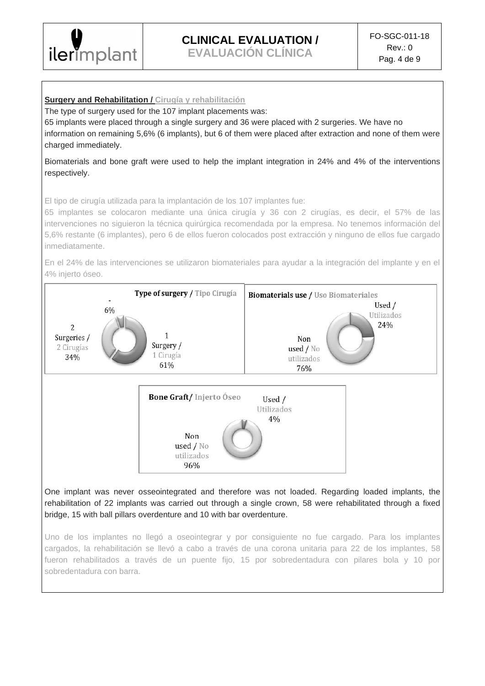

**EVALUACIÓN CLÍNICA**

#### **Surgery and Rehabilitation / Cirugía y rehabilitación**

The type of surgery used for the 107 implant placements was:

65 implants were placed through a single surgery and 36 were placed with 2 surgeries. We have no information on remaining 5,6% (6 implants), but 6 of them were placed after extraction and none of them were charged immediately.

Biomaterials and bone graft were used to help the implant integration in 24% and 4% of the interventions respectively.

El tipo de cirugía utilizada para la implantación de los 107 implantes fue:

65 implantes se colocaron mediante una única cirugía y 36 con 2 cirugías, es decir, el 57% de las intervenciones no siguieron la técnica quirúrgica recomendada por la empresa. No tenemos información del 5,6% restante (6 implantes), pero 6 de ellos fueron colocados post extracción y ninguno de ellos fue cargado inmediatamente.

En el 24% de las intervenciones se utilizaron biomateriales para ayudar a la integración del implante y en el 4% injerto óseo.



cargados, la rehabilitación se llevó a cabo a través de una corona unitaria para 22 de los implantes, 58 fueron rehabilitados a través de un puente fijo, 15 por sobredentadura con pilares bola y 10 por sobredentadura con barra.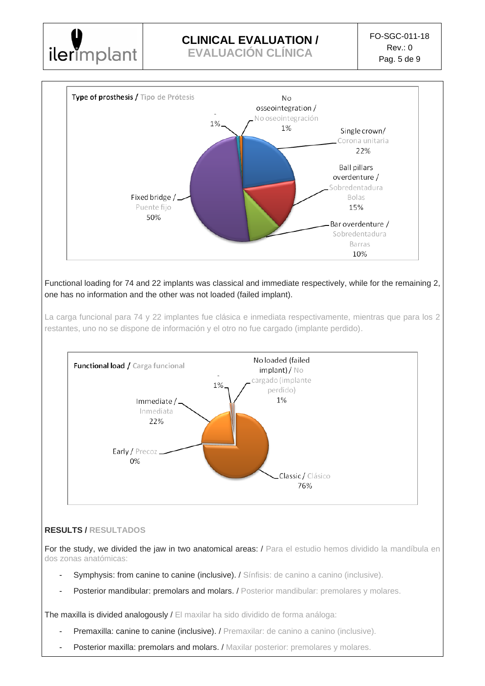

**EVALUACIÓN CLÍNICA**



Functional loading for 74 and 22 implants was classical and immediate respectively, while for the remaining 2, one has no information and the other was not loaded (failed implant).

La carga funcional para 74 y 22 implantes fue clásica e inmediata respectivamente, mientras que para los 2 restantes, uno no se dispone de información y el otro no fue cargado (implante perdido).



## **RESULTS / RESULTADOS**

For the study, we divided the jaw in two anatomical areas: / Para el estudio hemos dividido la mandíbula en dos zonas anatómicas:

- Symphysis: from canine to canine (inclusive). / Sínfisis: de canino a canino (inclusive).
- Posterior mandibular: premolars and molars. / Posterior mandibular: premolares y molares.

The maxilla is divided analogously / El maxilar ha sido dividido de forma análoga:

- Premaxilla: canine to canine (inclusive). / Premaxilar: de canino a canino (inclusive).
- Posterior maxilla: premolars and molars. / Maxilar posterior: premolares y molares.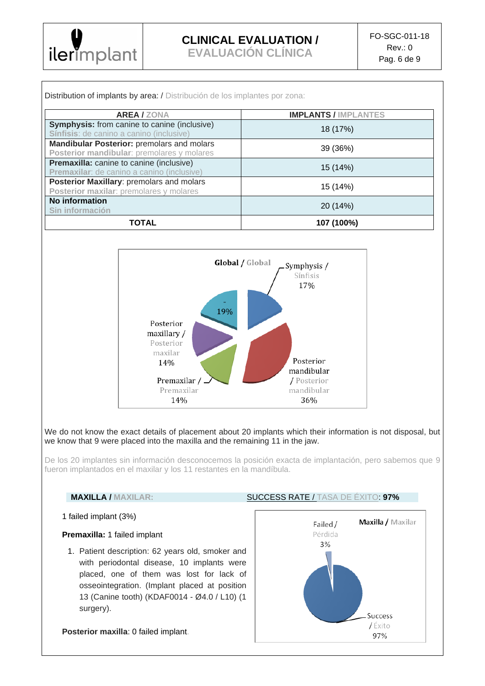

**EVALUACIÓN CLÍNICA**

| <b>AREA/ZONA</b>                                                                                | <b>IMPLANTS / IMPLANTES</b>                       |  |  |
|-------------------------------------------------------------------------------------------------|---------------------------------------------------|--|--|
| <b>Symphysis:</b> from canine to canine (inclusive)<br>Sínfisis: de canino a canino (inclusive) | 18 (17%)                                          |  |  |
| Mandibular Posterior: premolars and molars<br>Posterior mandibular: premolares y molares        | 39 (36%)                                          |  |  |
| Premaxilla: canine to canine (inclusive)<br>Premaxilar: de canino a canino (inclusive)          | 15 (14%)                                          |  |  |
| Posterior Maxillary: premolars and molars<br>Posterior maxilar: premolares y molares            | 15 (14%)                                          |  |  |
| <b>No information</b><br>Sin información                                                        | 20 (14%)                                          |  |  |
| <b>TOTAL</b>                                                                                    | 107 (100%)                                        |  |  |
|                                                                                                 |                                                   |  |  |
| 19%<br>Posterior                                                                                | Global / Global<br>Symphysis /<br>Sínfisis<br>17% |  |  |



We do not know the exact details of placement about 20 implants which their information is not disposal, but we know that 9 were placed into the maxilla and the remaining 11 in the jaw.

De los 20 implantes sin información desconocemos la posición exacta de implantación, pero sabemos que 9 fueron implantados en el maxilar y los 11 restantes en la mandíbula.

#### **MAXILLA / MAXILAR:** SUCCESS RATE / TASA DE ÉXITO: **97%**

#### 1 failed implant (3%)

#### **Premaxilla:** 1 failed implant

1. Patient description: 62 years old, smoker and with periodontal disease, 10 implants were placed, one of them was lost for lack of osseointegration. (Implant placed at position 13 (Canine tooth) (KDAF0014 - Ø4.0 / L10) (1 surgery).

**Posterior maxilla**: 0 failed implant.

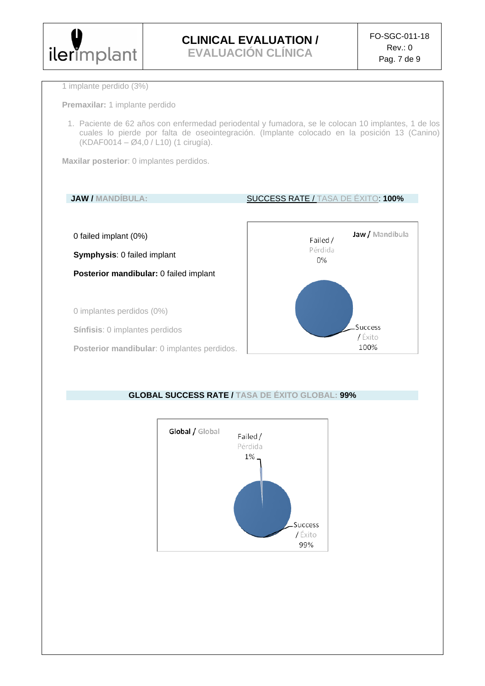

**EVALUACIÓN CLÍNICA**

100%

1 implante perdido (3%)

**Premaxilar:** 1 implante perdido

1. Paciente de 62 años con enfermedad periodental y fumadora, se le colocan 10 implantes, 1 de los cuales lo pierde por falta de oseointegración. (Implante colocado en la posición 13 (Canino) (KDAF0014 – Ø4,0 / L10) (1 cirugía).

**Maxilar posterior**: 0 implantes perdidos.

## **JAW / MANDÍBULA:** SUCCESS RATE / TASA DE ÉXITO: **100%** Jaw / Mandíbula 0 failed implant (0%) Failed / Pérdida **Symphysis**: 0 failed implant 0% **Posterior mandibular:** 0 failed implant 0 implantes perdidos (0%) Success **Sínfisis**: 0 implantes perdidos / Éxito

**Posterior mandibular**: 0 implantes perdidos.



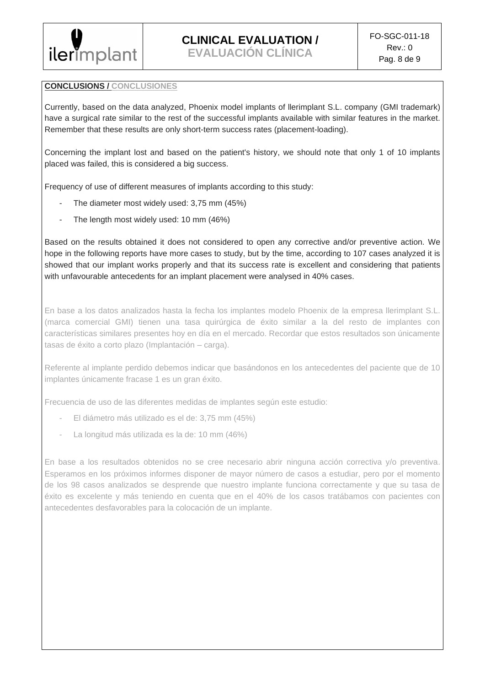

**EVALUACIÓN CLÍNICA**

### **CONCLUSIONS / CONCLUSIONES**

Currently, based on the data analyzed, Phoenix model implants of llerimplant S.L. company (GMI trademark) have a surgical rate similar to the rest of the successful implants available with similar features in the market. Remember that these results are only short-term success rates (placement-loading).

Concerning the implant lost and based on the patient's history, we should note that only 1 of 10 implants placed was failed, this is considered a big success.

Frequency of use of different measures of implants according to this study:

- The diameter most widely used: 3,75 mm (45%)
- The length most widely used: 10 mm (46%)

Based on the results obtained it does not considered to open any corrective and/or preventive action. We hope in the following reports have more cases to study, but by the time, according to 107 cases analyzed it is showed that our implant works properly and that its success rate is excellent and considering that patients with unfavourable antecedents for an implant placement were analysed in 40% cases.

En base a los datos analizados hasta la fecha los implantes modelo Phoenix de la empresa llerimplant S.L. (marca comercial GMI) tienen una tasa quirúrgica de éxito similar a la del resto de implantes con características similares presentes hoy en día en el mercado. Recordar que estos resultados son únicamente tasas de éxito a corto plazo (Implantación – carga).

Referente al implante perdido debemos indicar que basándonos en los antecedentes del paciente que de 10 implantes únicamente fracase 1 es un gran éxito.

Frecuencia de uso de las diferentes medidas de implantes según este estudio:

- El diámetro más utilizado es el de: 3,75 mm (45%)
- La longitud más utilizada es la de: 10 mm (46%)

En base a los resultados obtenidos no se cree necesario abrir ninguna acción correctiva y/o preventiva. Esperamos en los próximos informes disponer de mayor número de casos a estudiar, pero por el momento de los 98 casos analizados se desprende que nuestro implante funciona correctamente y que su tasa de éxito es excelente y más teniendo en cuenta que en el 40% de los casos tratábamos con pacientes con antecedentes desfavorables para la colocación de un implante.